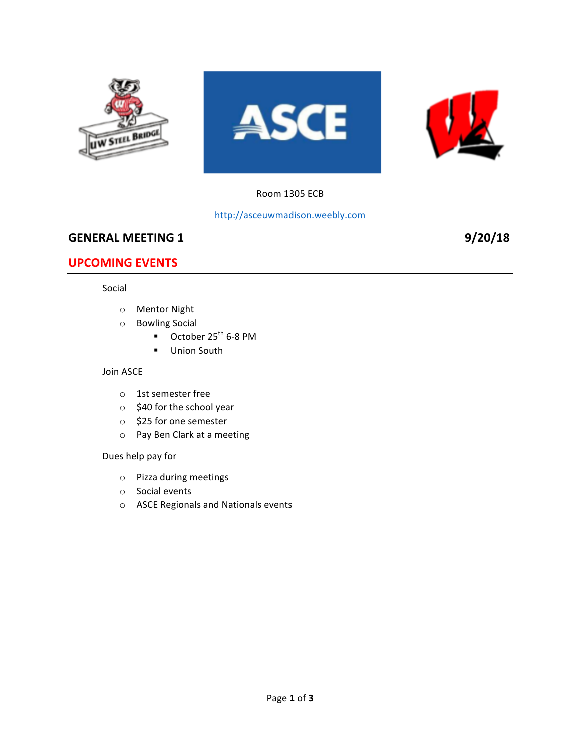

### Room 1305 ECB

### http://asceuwmadison.weebly.com

# **GENERAL MEETING 1 9/20/18**

# **UPCOMING EVENTS**

#### Social

- o Mentor Night
- o Bowling Social
	- $\blacksquare$  October 25<sup>th</sup> 6-8 PM
	- Union South

#### Join ASCE

- o 1st semester free
- $\circ$  \$40 for the school year
- o \$25 for one semester
- o Pay Ben Clark at a meeting

#### Dues help pay for

- $\circ$  Pizza during meetings
- o Social events
- o ASCE Regionals and Nationals events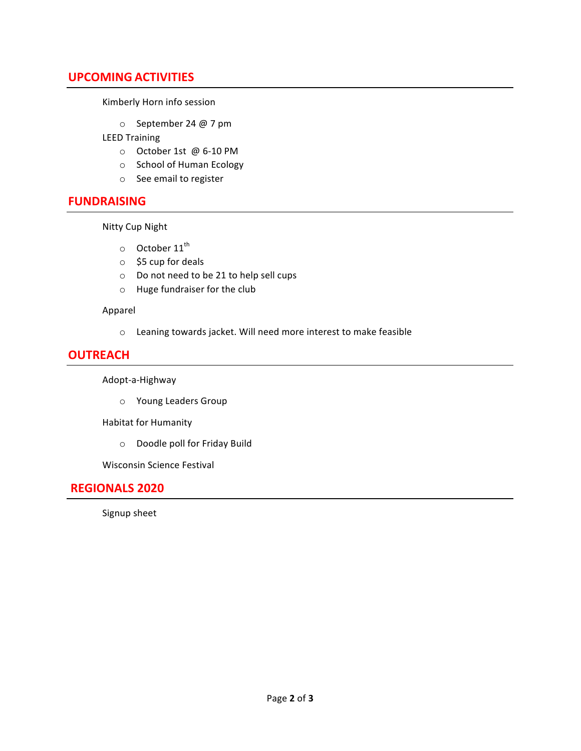# **UPCOMING ACTIVITIES**

Kimberly Horn info session

 $\circ$  September 24 @ 7 pm

LEED Training

- o October 1st @ 6-10 PM
- o School of Human Ecology
- o See email to register

### **FUNDRAISING**

**Nitty Cup Night** 

- $\circ$  October 11<sup>th</sup>
- $\circ$  \$5 cup for deals
- $\circ$  Do not need to be 21 to help sell cups
- $\circ$  Huge fundraiser for the club

#### Apparel

 $\circ$  Leaning towards jacket. Will need more interest to make feasible

# **OUTREACH**

Adopt-a-Highway

o Young Leaders Group

Habitat for Humanity

o Doodle poll for Friday Build

Wisconsin Science Festival

### **REGIONALS 2020**

Signup sheet